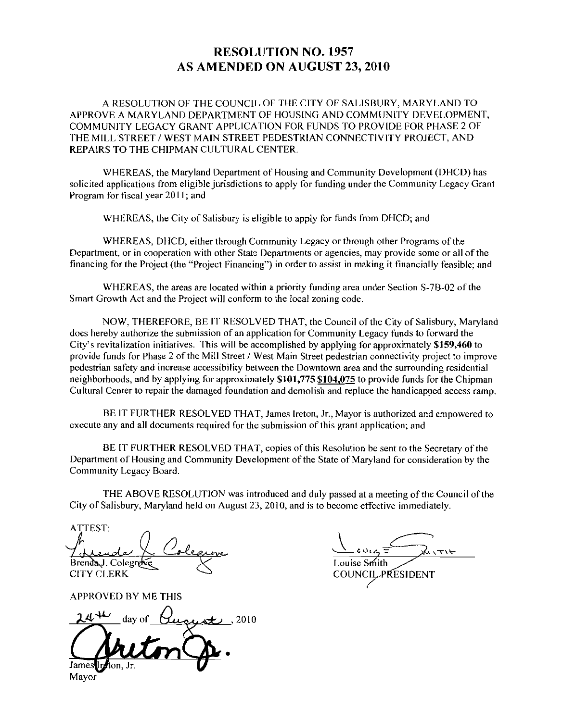## RESOLUTION NO. 1957 AS AMENDED ON AUGUST 23, 2010

<sup>A</sup> RESOLUTION OF THE COUNCIL OF THE CITY OF SALISBURY MARYLAND 7O APPROVE A MARYLAND DEPARTMENT OF HOUSING AND COMMUNITY DEVELOPMENT APPROVE A MARYLAND DEPARTMENT OF HOUSING AND COMMUNITY DEVELOPMEN<br>COMMUNITY LEGACY GRANT APPLICATION FOR FUNDS TO PROVIDE FOR PHASE 2 OF<br>THE MILL STREET / WEST MAIN STREET PEDESTRIAN CONNECTIVITY PROJECT, AND<br>REPAIRS TO TH REPAIRS TO THE CHIPMAN CULTURAL CENTER

WHEREAS, the Maryland Department of Housing and Community Development (DHCD) has solicited applications from eligible jurisdictions to apply for funding under the Community Legacy Grant Program for fiscal year 2011; and

WHEREAS, the City of Salisbury is eligible to apply for funds from DHCD; and

WHEREAS, DHCD, either through Community Legacy or through other Programs of the Department, or in cooperation with other State Departments or agencies, may provide some or all of the financing for the Project (the "Project Financing") in order to assist in making it financially feasible; and WHEREAS, DHCD, either through Community Legacy or through other Programs of the nent, or in cooperation with other State Departments or agencies, may provide some or all of t<br>areas for the Project (the "Project Financing")

Smart Growth Act and the Project will conform to the local zoning code.

NOW, THEREFORE, BE IT RESOLVED THAT, the Council of the City of Salisbury, Maryland does hereby authorize the submission of an application for Community Legacy funds to forward the City's revitalization initiatives. This will be accomplished by applying for approximately \$159,460 to NOW, THEREFORE, BE IT RESOLVED THAT, the Council of the City of Salisbury, Maryland does hereby authorize the submission of an application for Community Legacy funds to forward the City's revitalization initiatives. This w pedestrian safety and increase accessibility between the Downtown area and the surrounding residential does hereby authorize the submission of an application for Co<br>City's revitalization initiatives. This will be accomplished by<br>provide funds for Phase 2 of the Mill Street / West Main Stre<br>pedestrian safety and increase acc neighborhoods, and by applying for approximately \$101,775 \$104,075 to provide funds for the Chipman Cultural Center to repair the damaged foundation and demolish and replace the handicapped access ramp

BE IT FURTHER RESOLVED THAT, James Ireton, Jr., Mayor is authorized and empowered to execute any and all documents required for the submission of this grant application; and

BE IT FURTHER RESOLVED THAT, copies of this Resolution be sent to the Secretary of the Department of Housing and Community Development of the State of Maryland for consideration by the Community Legacy Board

THE ABOVE RESOLUTION was introduced and duly passed at a meeting of the Council of the City of Salisbury, Maryland held on August  $23$ ,  $2010$ , and is to become effective immediately.

ATTEST BrendaJ. Colegre CITY CLERK

APPROVED BY MF THIS

2010 Mayor

Example 2 Constants<br>
d at a meeting of the Courte<br>
de effective immediately.<br>
See Smith<br>
NCIL PRESIDENT Louise Smith<br>COUNCIL PRESIDENT

Louise Smith<br>COUNCIL-PRESIDENT